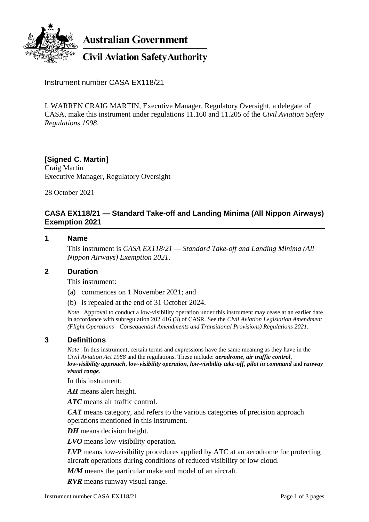

**Australian Government** 

**Civil Aviation Safety Authority** 

Instrument number CASA EX118/21

I, WARREN CRAIG MARTIN, Executive Manager, Regulatory Oversight, a delegate of CASA, make this instrument under regulations 11.160 and 11.205 of the *Civil Aviation Safety Regulations 1998*.

## **[Signed C. Martin]** Craig Martin Executive Manager, Regulatory Oversight

28 October 2021

# **CASA EX118/21 — Standard Take-off and Landing Minima (All Nippon Airways) Exemption 2021**

## **1 Name**

This instrument is *CASA EX118/21 — Standard Take-off and Landing Minima (All Nippon Airways) Exemption 2021*.

## **2 Duration**

This instrument:

- (a) commences on 1 November 2021; and
- (b) is repealed at the end of 31 October 2024.

*Note* Approval to conduct a low-visibility operation under this instrument may cease at an earlier date in accordance with subregulation 202.416 (3) of CASR. See the *Civil Aviation Legislation Amendment (Flight Operations—Consequential Amendments and Transitional Provisions) Regulations 2021*.

## **3 Definitions**

*Note* In this instrument, certain terms and expressions have the same meaning as they have in the *Civil Aviation Act 1988* and the regulations. These include: *aerodrome*, *air traffic control*, *low-visibility approach*, *low-visibility operation*, *low-visibility take-off*, *pilot in command* and *runway visual range*.

In this instrument:

*AH* means alert height.

*ATC* means air traffic control.

*CAT* means category, and refers to the various categories of precision approach operations mentioned in this instrument.

*DH* means decision height.

*LVO* means low-visibility operation.

*LVP* means low-visibility procedures applied by ATC at an aerodrome for protecting aircraft operations during conditions of reduced visibility or low cloud.

*M/M* means the particular make and model of an aircraft.

*RVR* means runway visual range.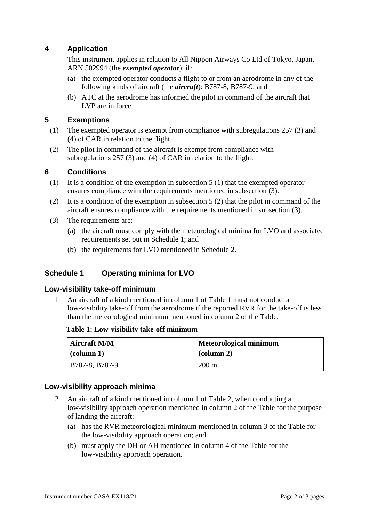# **4 Application**

This instrument applies in relation to All Nippon Airways Co Ltd of Tokyo, Japan, ARN 502994 (the *exempted operator*), if:

- (a) the exempted operator conducts a flight to or from an aerodrome in any of the following kinds of aircraft (the *aircraft*): B787-8, B787-9; and
- (b) ATC at the aerodrome has informed the pilot in command of the aircraft that LVP are in force.

# **5 Exemptions**

- (1) The exempted operator is exempt from compliance with subregulations 257 (3) and (4) of CAR in relation to the flight.
- (2) The pilot in command of the aircraft is exempt from compliance with subregulations 257 (3) and (4) of CAR in relation to the flight.

## **6 Conditions**

- (1) It is a condition of the exemption in subsection  $5(1)$  that the exempted operator ensures compliance with the requirements mentioned in subsection (3).
- (2) It is a condition of the exemption in subsection 5 (2) that the pilot in command of the aircraft ensures compliance with the requirements mentioned in subsection (3).
- (3) The requirements are:
	- (a) the aircraft must comply with the meteorological minima for LVO and associated requirements set out in Schedule 1; and
	- (b) the requirements for LVO mentioned in Schedule 2.

## **Schedule 1 Operating minima for LVO**

## **Low-visibility take-off minimum**

1 An aircraft of a kind mentioned in column 1 of Table 1 must not conduct a low-visibility take-off from the aerodrome if the reported RVR for the take-off is less than the meteorological minimum mentioned in column 2 of the Table.

#### **Table 1: Low-visibility take-off minimum**

| <b>Aircraft M/M</b>            | <b>Meteorological minimum</b> |  |
|--------------------------------|-------------------------------|--|
| $\left(\text{column 1}\right)$ | $\alpha$ (column 2)           |  |
| B787-8, B787-9                 | 200 m                         |  |

## **Low-visibility approach minima**

- 2 An aircraft of a kind mentioned in column 1 of Table 2, when conducting a low-visibility approach operation mentioned in column 2 of the Table for the purpose of landing the aircraft:
	- (a) has the RVR meteorological minimum mentioned in column 3 of the Table for the low-visibility approach operation; and
	- (b) must apply the DH or AH mentioned in column 4 of the Table for the low-visibility approach operation.